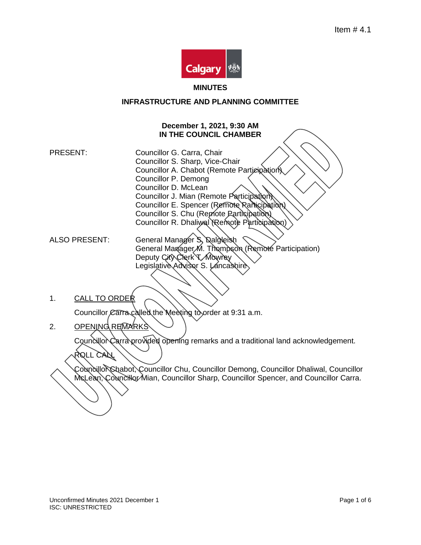

#### **MINUTES**

## **INFRASTRUCTURE AND PLANNING COMMITTEE**

### **December 1, 2021, 9:30 AM IN THE COUNCIL CHAMBER**

PRESENT: Councillor G. Carra, Chair Councillor S. Sharp, Vice-Chair Councillor A. Chabot (Remote Participation). Councillor P. Demong Councillor D. McLean Councillor J. Mian (Remote Participation) Councillor E. Spencer (Remote Rarticipation) Councillor S. Chu (Remote Participation) Councillor R. Dhaliwal (Remote Participation)

ALSO PRESENT: General Manager S, Dalgleish General Manager M. Thompson (Remote Participation) Deputy City Clerk T. Mowrey Legislative Advisor S. Lancashire

1. CALL TO ORDER

Councillor Carra called the Meeting to order at 9:31 a.m.

2. OPENING REMARKS

ROLL CALL

Councillor Carra provided opening remarks and a traditional land acknowledgement.

Councillor Chabot, Councillor Chu, Councillor Demong, Councillor Dhaliwal, Councillor McLean, Councillor Mian, Councillor Sharp, Councillor Spencer, and Councillor Carra.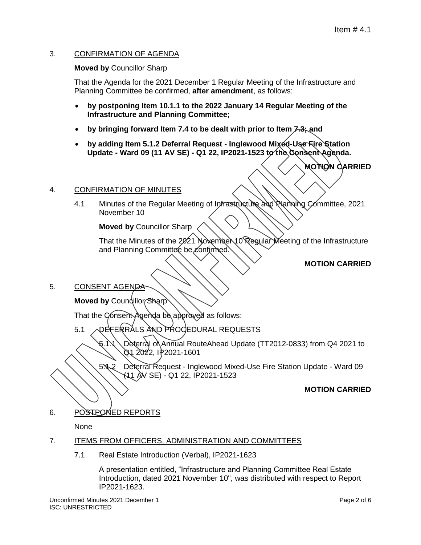## 3. CONFIRMATION OF AGENDA

### **Moved by** Councillor Sharp

That the Agenda for the 2021 December 1 Regular Meeting of the Infrastructure and Planning Committee be confirmed, **after amendment**, as follows:

- **by postponing Item 10.1.1 to the 2022 January 14 Regular Meeting of the Infrastructure and Planning Committee;**
- **by bringing forward Item 7.4 to be dealt with prior to Item 7.3; and**
- **by adding Item 5.1.2 Deferral Request - Inglewood Mixed-Use Fire Station Update - Ward 09 (11 AV SE) - Q1 22, IP2021-1523 to the Consent Agenda.**

**MOTION CARRIED**

### 4. CONFIRMATION OF MINUTES

4.1 Minutes of the Regular Meeting of Infrastructure and Planning Committee, 2021 November 10

**Moved by** Councillor Sharp

That the Minutes of the 2021 November 10 Regular Meeting of the Infrastructure and Planning Committee be confirmed.

## **MOTION CARRIED**

### 5. CONSENT AGENDA

**Moved by Coundillor Sharp** 

That the Consent Agenda be approved as follows:

5.1 **ODE FERRALS AND PROCEDURAL REQUESTS** 

5.1.1 Deferral of Annual RouteAhead Update (TT2012-0833) from Q4 2021 to Q1 2022, IP2021-1601

5.1.2 Deferral Request - Inglewood Mixed-Use Fire Station Update - Ward 09 (11 AV SE) - Q1 22, IP2021-1523

### **MOTION CARRIED**

6. POSTPONED REPORTS

None

### 7. ITEMS FROM OFFICERS, ADMINISTRATION AND COMMITTEES

7.1 Real Estate Introduction (Verbal), IP2021-1623

A presentation entitled, "Infrastructure and Planning Committee Real Estate Introduction, dated 2021 November 10", was distributed with respect to Report IP2021-1623.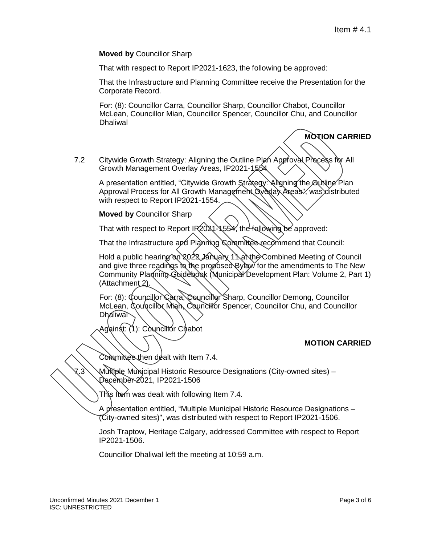**Moved by** Councillor Sharp

That with respect to Report IP2021-1623, the following be approved:

That the Infrastructure and Planning Committee receive the Presentation for the Corporate Record.

For: (8): Councillor Carra, Councillor Sharp, Councillor Chabot, Councillor McLean, Councillor Mian, Councillor Spencer, Councillor Chu, and Councillor **Dhaliwal** 

# **MOTION CARRIED**

7.2 Citywide Growth Strategy: Aligning the Outline Plan Approval Process for All Growth Management Overlay Areas, IP2021-1554

A presentation entitled, "Citywide Growth Strategy: Aligning the Outling Plan Approval Process for All Growth Management Qverlay Areas", was distributed with respect to Report IP2021-1554.

**Moved by** Councillor Sharp

That with respect to Report IR2021-1554, the following be approved:

That the Infrastructure and Planning Committee recommend that Council:

Hold a public hearing on 2022 January 1 \arthe Combined Meeting of Council and give three readings to the proposed Bylaw for the amendments to The New Community Planning Guidebook (Municipal Development Plan: Volume 2, Part 1) (Attachment<sub>2</sub>).

For: (8): Councillor Carra, Councillor Sharp, Councillor Demong, Councillor McLean, Councillor Mian, Councillor Spencer, Councillor Chu, and Councillor **Dhaliwal** 

Against: (1): Councillor Chabot

## **MOTION CARRIED**

Committee then dealt with Item 7.4.

Multiple Municipal Historic Resource Designations (City-owned sites) – December 2021, IP2021-1506

This Item was dealt with following Item 7.4.

A presentation entitled, "Multiple Municipal Historic Resource Designations -(City-owned sites)", was distributed with respect to Report IP2021-1506.

Josh Traptow, Heritage Calgary, addressed Committee with respect to Report IP2021-1506.

Councillor Dhaliwal left the meeting at 10:59 a.m.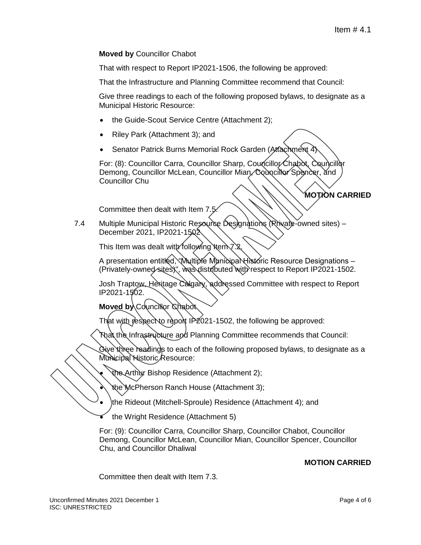### **Moved by** Councillor Chabot

That with respect to Report IP2021-1506, the following be approved:

That the Infrastructure and Planning Committee recommend that Council:

Give three readings to each of the following proposed bylaws, to designate as a Municipal Historic Resource:

- the Guide-Scout Service Centre (Attachment 2);
- Riley Park (Attachment 3); and
- Senator Patrick Burns Memorial Rock Garden (Attachment 4)

For: (8): Councillor Carra, Councillor Sharp, Councillor Chabot, Councillor Demong, Councillor McLean, Councillor Mian, Councillor Spencer, and Councillor Chu

## **MOTION CARRIED**

Committee then dealt with Item 7.5.

7.4 Multiple Municipal Historic Resource Designations (Rrivate-owned sites) -December 2021, IP2021-1502

This Item was dealt with following Item 7.2

A presentation entitled, "Multiple Municipal Historic Resource Designations -(Privately-owned sites)", was distributed with respect to Report IP2021-1502.

Josh Traptow, Heritage Calgary, addressed Committee with respect to Report IP2021-1502.

**Moved by Councillor Chabot** 

That with respect to report IP 2021-1502, the following be approved:

That the Infrastructure and Planning Committee recommends that Council:

Give three readings to each of the following proposed bylaws, to designate as a Municipal Historic Resource:

the Arthur Bishop Residence (Attachment 2);

the McPherson Ranch House (Attachment 3);

- the Rideout (Mitchell-Sproule) Residence (Attachment 4); and
- the Wright Residence (Attachment 5)

For: (9): Councillor Carra, Councillor Sharp, Councillor Chabot, Councillor Demong, Councillor McLean, Councillor Mian, Councillor Spencer, Councillor Chu, and Councillor Dhaliwal

## **MOTION CARRIED**

Committee then dealt with Item 7.3.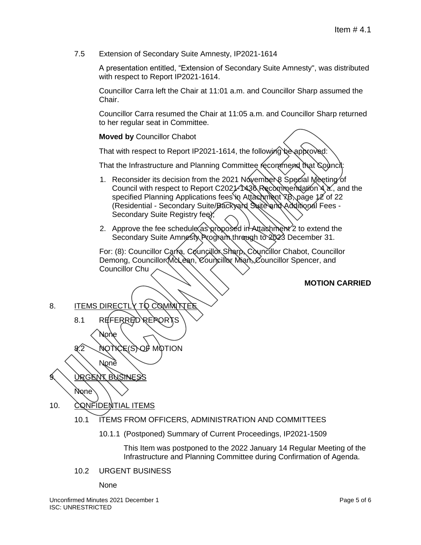7.5 Extension of Secondary Suite Amnesty, IP2021-1614

A presentation entitled, "Extension of Secondary Suite Amnesty", was distributed with respect to Report IP2021-1614.

Councillor Carra left the Chair at 11:01 a.m. and Councillor Sharp assumed the Chair.

Councillor Carra resumed the Chair at 11:05 a.m. and Councillor Sharp returned to her regular seat in Committee.

### **Moved by** Councillor Chabot

That with respect to Report IP2021-1614, the following be approved:

That the Infrastructure and Planning Committee recommend that Council:

- 1. Reconsider its decision from the 2021 November 8 Special Meeting of Council with respect to Report C2021-1436 Recommendation 4 a., and the specified Planning Applications fees in Attachment  $\overline{R}$ , page 12 of 22 (Residential - Secondary Suite/Backyand Suite and Additional Fees -Secondary Suite Registry fee);
- 2. Approve the fee schedule as proposed in Attachment 2 to extend the Secondary Suite Amnesty Program through to 2023 December 31.

For: (8): Councillor Carra, Councillor Sharp, Councillor Chabot, Councillor Demong, Councillor McLean, Councillor Mian, Councillor Spencer, and Councillor Chu

### **MOTION CARRIED**

8. ITEMS DIRECTLY TO COMMIT

8.1 REFERRED REPORT

8.2 NOTICE(S) OF MOTION

**None** 9. URGENT BUSINESS None

None

10. CONFIDENTIAL ITEMS

- 10.1 ITEMS FROM OFFICERS, ADMINISTRATION AND COMMITTEES
	- 10.1.1 (Postponed) Summary of Current Proceedings, IP2021-1509

This Item was postponed to the 2022 January 14 Regular Meeting of the Infrastructure and Planning Committee during Confirmation of Agenda.

10.2 URGENT BUSINESS

None